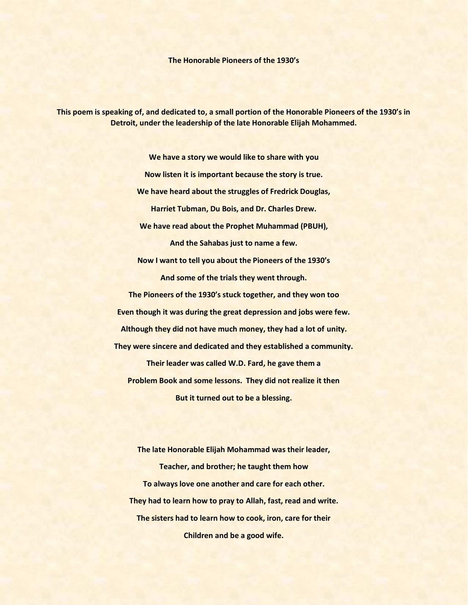**The Honorable Pioneers of the 1930's**

**This poem is speaking of, and dedicated to, a small portion of the Honorable Pioneers of the 1930's in Detroit, under the leadership of the late Honorable Elijah Mohammed.**

> **We have a story we would like to share with you Now listen it is important because the story is true. We have heard about the struggles of Fredrick Douglas, Harriet Tubman, Du Bois, and Dr. Charles Drew. We have read about the Prophet Muhammad (PBUH), And the Sahabas just to name a few. Now I want to tell you about the Pioneers of the 1930's And some of the trials they went through. The Pioneers of the 1930's stuck together, and they won too Even though it was during the great depression and jobs were few. Although they did not have much money, they had a lot of unity. They were sincere and dedicated and they established a community. Their leader was called W.D. Fard, he gave them a Problem Book and some lessons. They did not realize it then But it turned out to be a blessing.**

**The late Honorable Elijah Mohammad was their leader, Teacher, and brother; he taught them how To always love one another and care for each other. They had to learn how to pray to Allah, fast, read and write. The sisters had to learn how to cook, iron, care for their Children and be a good wife.**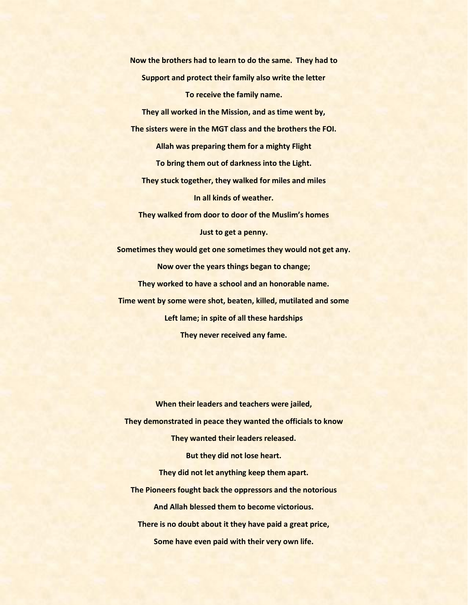**Now the brothers had to learn to do the same. They had to Support and protect their family also write the letter To receive the family name.**

**They all worked in the Mission, and as time went by, The sisters were in the MGT class and the brothers the FOI. Allah was preparing them for a mighty Flight To bring them out of darkness into the Light. They stuck together, they walked for miles and miles In all kinds of weather. They walked from door to door of the Muslim's homes**

**Just to get a penny.**

**Sometimes they would get one sometimes they would not get any. Now over the years things began to change; They worked to have a school and an honorable name. Time went by some were shot, beaten, killed, mutilated and some Left lame; in spite of all these hardships They never received any fame.**

**When their leaders and teachers were jailed, They demonstrated in peace they wanted the officials to know They wanted their leaders released. But they did not lose heart. They did not let anything keep them apart. The Pioneers fought back the oppressors and the notorious And Allah blessed them to become victorious. There is no doubt about it they have paid a great price, Some have even paid with their very own life.**